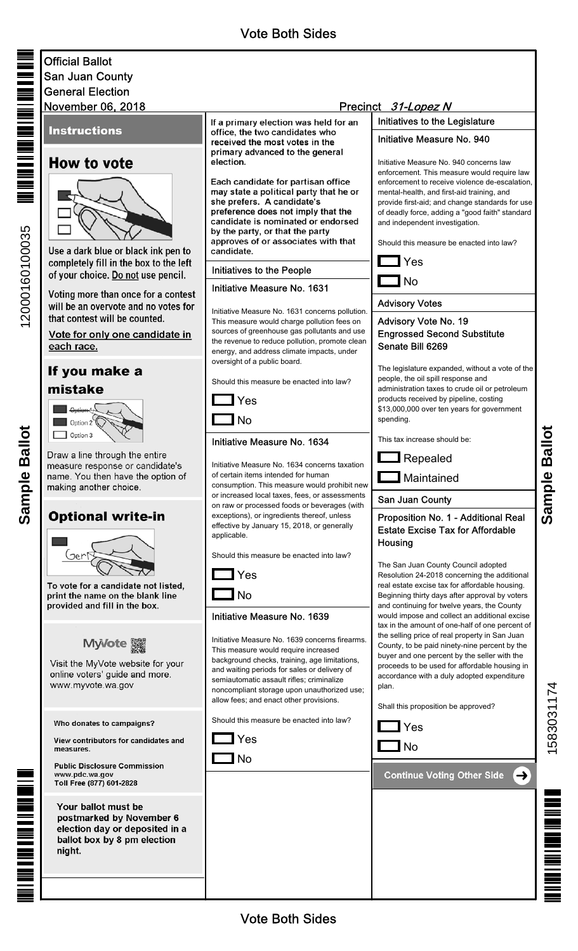# Official Ballot San Juan County General Election

## **Instructions**

## **How to vote**



Use a dark blue or black ink pen to completely fill in the box to the left of your choice. Do not use pencil.

Voting more than once for a contest will be an overvote and no votes for that contest will be counted.

Vote for only one candidate in each race.

# If you make a mistake



Draw a line through the entire measure response or candidate's name. You then have the option of making another choice.

## **Optional write-in**



To vote for a candidate not listed, print the name on the blank line provided and fill in the box.



Visit the MyVote website for your online voters' guide and more. www.myvote.wa.gov

#### Who donates to campaigns?

View contributors for candidates and measures.

**Public Disclosure Commission** www.pdc.wa.gov Toll Free (877) 601-2828

Your ballot must be postmarked by November 6 election day or deposited in a ballot box by 8 pm election night.

If a primary election was held for an office, the two candidates who received the most votes in the primary advanced to the general election.

Each candidate for partisan office may state a political party that he or she prefers. A candidate's preference does not imply that the candidate is nominated or endorsed by the party, or that the party approves of or associates with that candidate.

#### Initiatives to the People

#### Initiative Measure No. 1631

Initiative Measure No. 1631 concerns pollution. This measure would charge pollution fees on sources of greenhouse gas pollutants and use the revenue to reduce pollution, promote clean energy, and address climate impacts, under oversight of a public board.

Should this measure be enacted into law?



## Initiative Measure No. 1634

Initiative Measure No. 1634 concerns taxation of certain items intended for human consumption. This measure would prohibit new or increased local taxes, fees, or assessments on raw or processed foods or beverages (with exceptions), or ingredients thereof, unless effective by January 15, 2018, or generally applicable.

Should this measure be enacted into law?

 ${\bf l}$  Yes

 $\mathbf{I}$  No

#### Initiative Measure No. 1639

Initiative Measure No. 1639 concerns firearms. This measure would require increased background checks, training, age limitations, and waiting periods for sales or delivery of semiautomatic assault rifles; criminalize noncompliant storage upon unauthorized use; allow fees; and enact other provisions.

Should this measure be enacted into law?



 $\Box$  No

# November 06, 2018 **31-Lopez N**

Initiatives to the Legislature

#### Initiative Measure No. 940

Initiative Measure No. 940 concerns law enforcement. This measure would require law enforcement to receive violence de-escalation, mental-health, and first-aid training, and provide first-aid; and change standards for use of deadly force, adding a "good faith" standard and independent investigation.

Should this measure be enacted into law?



## Advisory Votes

#### Advisory Vote No. 19 Engrossed Second Substitute Senate Bill 6269

The legislature expanded, without a vote of the people, the oil spill response and administration taxes to crude oil or petroleum products received by pipeline, costing \$13,000,000 over ten years for government spending.

This tax increase should be:



**Maintained** 

San Juan County

### Proposition No. 1 - Additional Real Estate Excise Tax for Affordable **Housing**

The San Juan County Council adopted Resolution 24-2018 concerning the additional real estate excise tax for affordable housing. Beginning thirty days after approval by voters and continuing for twelve years, the County would impose and collect an additional excise tax in the amount of one-half of one percent of the selling price of real property in San Juan County, to be paid ninety-nine percent by the buyer and one percent by the seller with the proceeds to be used for affordable housing in accordance with a duly adopted expenditure plan.

Shall this proposition be approved?





**Continue Voting Other Side** (→

15830311741583031174





**Sample Ballot** Sample Ballot